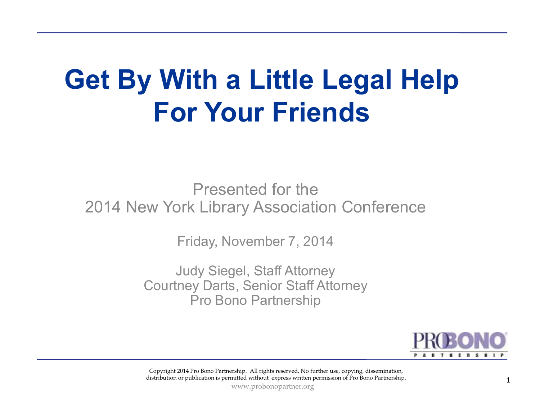# **Get By With a Little Legal Help For Your Friends**

Presented for the2014 New York Library Association Conference

Friday, November 7, 2014

Judy Siegel, Staff Attorney Courtney Darts, Senior Staff AttorneyPro Bono Partnership



Copyright 2014 Pro Bono Partnership. All rights reserved. No further use, copying, dissemination, distribution or publication is permitted without express written permission of Pro Bono Partnership.

www.probonopartner.org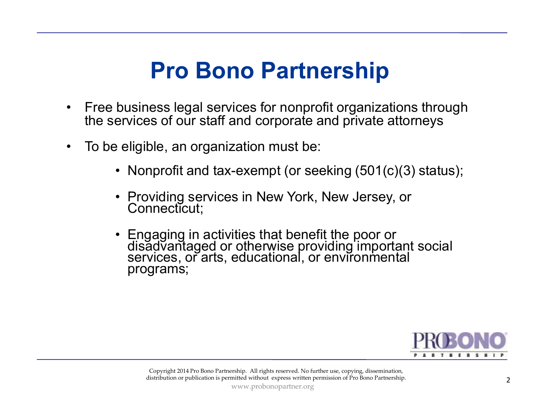### **Pro Bono Partnership**

- • Free business legal services for nonprofit organizations through the services of our staff and corporate and private attorneys
- • To be eligible, an organization must be:
	- Nonprofit and tax-exempt (or seeking (501(c)(3) status);
	- •Providing services in New York, New Jersey, or Connecticut;
	- •Engaging in activities that benefit the poor or<br>disadvantaged or otherwise providing important social<br>services, or arts, educational, or environmental programs;

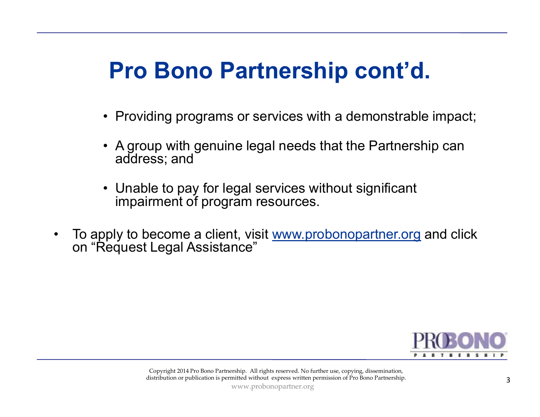### **Pro Bono Partnership cont'd.**

- Providing programs or services with a demonstrable impact;
- • A group with genuine legal needs that the Partnership can address; and
- Unable to pay for legal services without significant<br>impairment of program resources impairment of program resources.
- •To apply to become a client, visit www.probonopartner.org and click on "Request Legal Assistance"

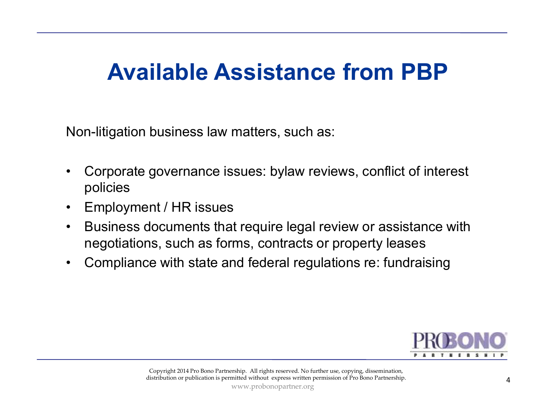### **Available Assistance from PBP**

Non-litigation business law matters, such as:

- • Corporate governance issues: bylaw reviews, conflict of interest policies
- $\bullet$ Employment / HR issues
- $\bullet$  Business documents that require legal review or assistance with negotiations, such as forms, contracts or property leases
- •Compliance with state and federal regulations re: fundraising

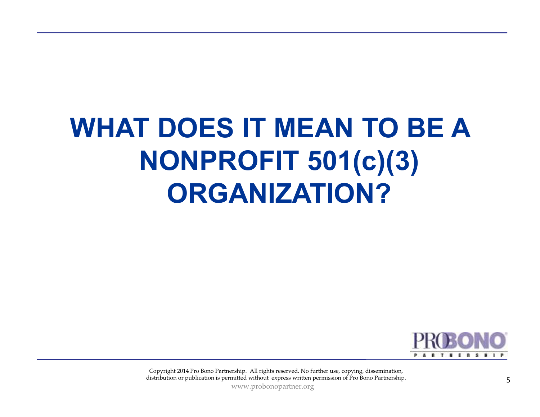# **WHAT DOES IT MEAN TO BE A NONPROFIT 501(c)(3) ORGANIZATION?**



Copyright 2014 Pro Bono Partnership. All rights reserved. No further use, copying, dissemination, distribution or publication is permitted without express written permission of Pro Bono Partnership.

www.probonopartner.org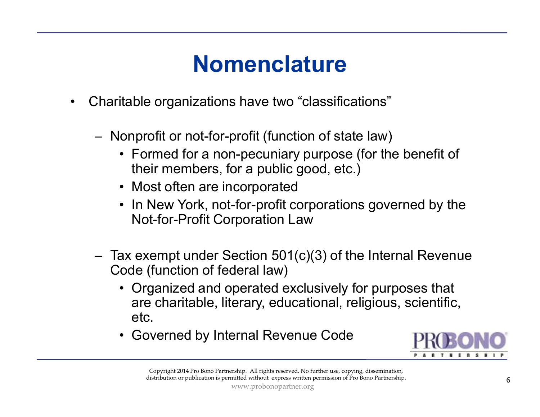### **Nomenclature**

- • Charitable organizations have two "classifications"
	- Nonprofit or not-for-profit (function of state law)
		- Formed for a non-pecuniary purpose (for the benefit of their mombers for a public good ato ) their members, for a public good, etc.)
		- Most often are incorporated
		- In New York, not-for-profit corporations governed by the Not-for-Profit Corporation Law
	- Tax exempt under Section 501(c)(3) of the Internal Revenue<br>Cade (function of foderal law) Code (function of federal law)
		- Organized and operated exclusively for purposes that <br>are sharitable, literary educational, religious, scientific are charitable, literary, educational, religious, scientific, etc.
		- Governed by Internal Revenue Code



Copyright 2014 Pro Bono Partnership. All rights reserved. No further use, copying, dissemination, distribution or publication is permitted without express written permission of Pro Bono Partnership.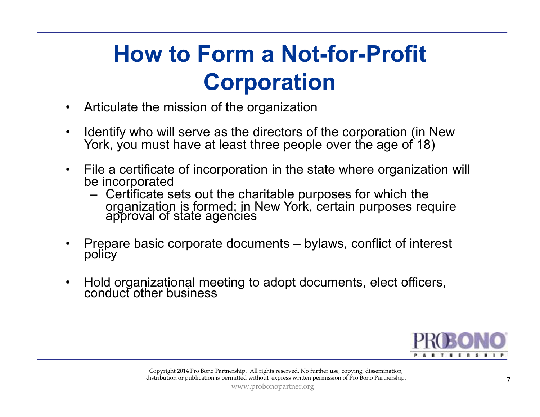### **How to Form a Not-for-Profit Corporation**

- •Articulate the mission of the organization
- • Identify who will serve as the directors of the corporation (in New York, you must have at least three people over the age of 18)
- • File a certificate of incorporation in the state where organization will be incorporated
	- 1. еписана Certificate sets out the charitable purposes for which the<br>organization is formed: in New York, certain purposes rec organization is formed; in New York, certain purposes require approval of state agencies
- •Prepare basic corporate documents – bylaws, conflict of interest policy
- $\bullet$ Hold organizational meeting to adopt documents, elect officers, conduct other business

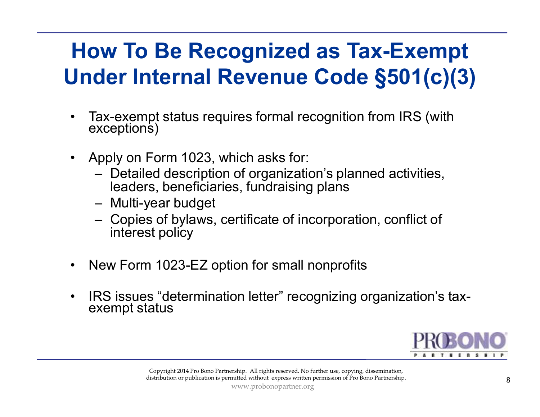### **How To Be Recognized as Tax-Exempt Under Internal Revenue Code §501(c)(3)**

- •Tax-exempt status requires formal recognition from IRS (with exceptions)
- $\bullet$  Apply on Form 1023, which asks for:
	- Detailed description of organization's planned activities,<br>leaders, beneficiaries, fundraising plans leaders, beneficiaries, fundraising plans
	- Multi-year budget
	- Copies of bylaws, certificate of incorporation, conflict of interest policy interest policy
- •New Form 1023-EZ option for small nonprofits
- $\bullet$ IRS issues "determination letter" recognizing organization's tax- exempt status

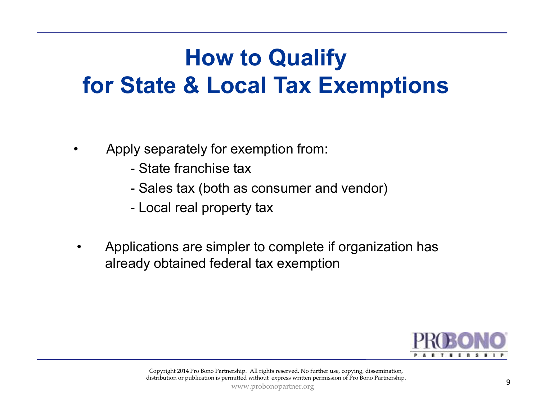### **How to Qualify for State & Local Tax Exemptions**

- $\bullet$  Apply separately for exemption from:
	- State franchise tax
	- Sales tax (both as consumer and vendor)<br>- Local real property tax
	- Local real property tax
- Applications are simpler to complete if organization has already obtained federal tax exemption  $\begin{array}{r} \text{PRO} \text{ on } \text{O} \text{ on } \text{O} \text{ on } \text{O} \text{ on } \text{P} \text{ on } \text{P} \text{ on } \text{P} \text{ on } \text{P} \text{ on } \text{P} \text{ on } \text{P} \text{ on } \text{P} \text{ on } \text{P$

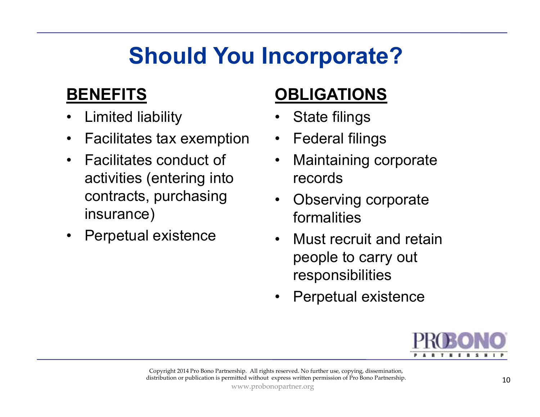### **Should You Incorporate?**

#### **BENEFITS**

- Limited liability •
- $\bullet$ Facilitates tax exemption
- • Facilitates conduct of activities (entering into contracts, purchasing insurance)
- $\bullet$ Perpetual existence

#### **OBLIGATIONS**

- •State filings
- $\bullet$ Federal filings
- $\bullet$  Maintaining corporate records
- $\bullet$  Observing corporate formalities
- • Must recruit and retain people to carry out responsibilities
- $\bullet$ Perpetual existence

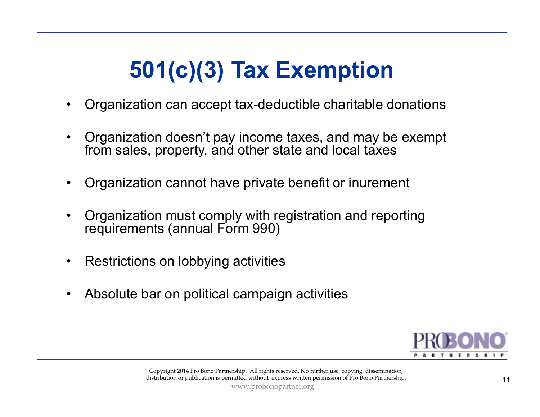### **501(c)(3) Tax Exemption**

- •Organization can accept tax-deductible charitable donations
- • Organization doesn't pay income taxes, and may be exempt from sales, property, and other state and local taxes
- $\bullet$ Organization cannot have private benefit or inurement
- • Organization must comply with registration and reporting requirements (annual Form 990)
- •Restrictions on lobbying activities
- $\bullet$ Absolute bar on political campaign activities

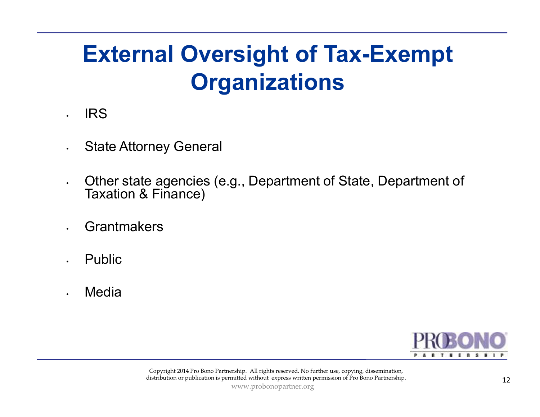### **External Oversight of Tax-Exempt Organizations**

#### IRS

•

- •State Attorney General
- • Other state agencies (e.g., Department of State, Department of Taxation & Finance)
- •**Grantmakers**
- •Public
- •Media

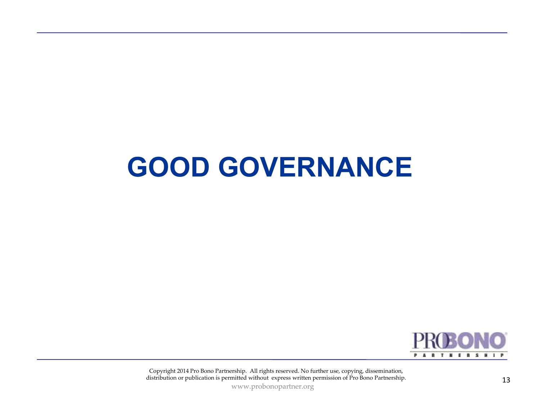### **GOOD GOVERNANCE**



Copyright 2014 Pro Bono Partnership. All rights reserved. No further use, copying, dissemination, distribution or publication is permitted without express written permission of Pro Bono Partnership. 13

www.probonopartner.org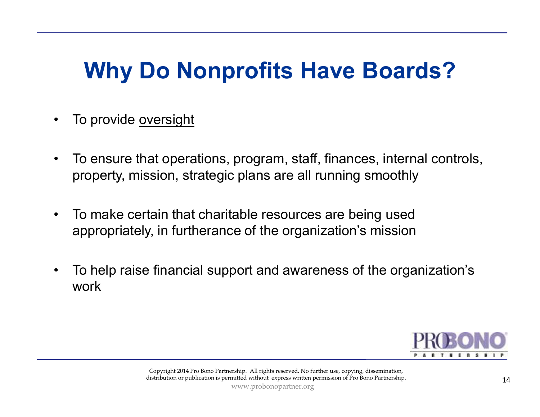### **Why Do Nonprofits Have Boards?**

- •To provide oversight
- $\bullet$  To ensure that operations, program, staff, finances, internal controls, property, mission, strategic plans are all running smoothly
- $\bullet$  To make certain that charitable resources are being used appropriately, in furtherance of the organization's mission
- $\bullet$  To help raise financial support and awareness of the organization's work

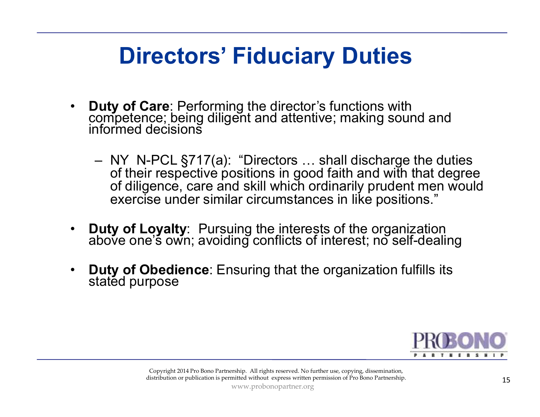### **Directors' Fiduciary Duties**

- • **Duty of Care**: Performing the director's functions with competence; being diligent and attentive; making sound and informed decisions
	- NY N-PCL  $\S717(a)$ : "Directors ... shall discharge the duties of their respective positions in good faith and with that degree of their respective positions in good faith and with that degree of diligence, care and skill which ordinarily prudent men would exercise under similar circumstances in like positions."
- •**Duty of Loyalty**: Pursuing the interests of the organization above one's own; avoiding conflicts of interest; no self-dealing
- •**Duty of Obedience**: Ensuring that the organization fulfills its stated purpose

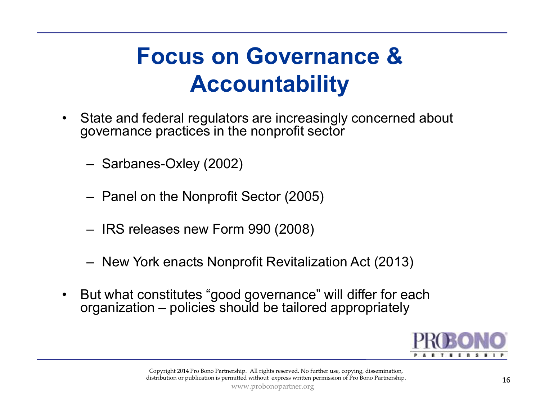### **Focus on Governance & Accountability**

- • State and federal regulators are increasingly concerned about governance practices in the nonprofit sector
	- Sarbanes-Oxley (2002)
	- Panel on the Nonprofit Sector (2005)
	- IRS releases new Form 990 (2008)
	- New York enacts Nonprofit Revitalization Act (2013 )
- $\bullet$  But what constitutes "good governance" will differ for each organization – policies should be tailored appropriately

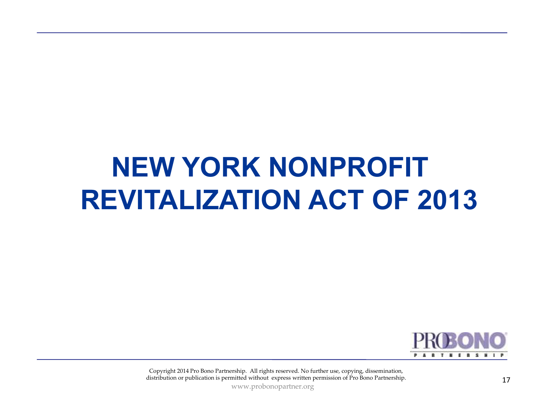### **NEW YORK NONPROFIT REVITALIZATION ACT OF 2013**



Copyright 2014 Pro Bono Partnership. All rights reserved. No further use, copying, dissemination, distribution or publication is permitted without express written permission of Pro Bono Partnership.

www.probonopartner.org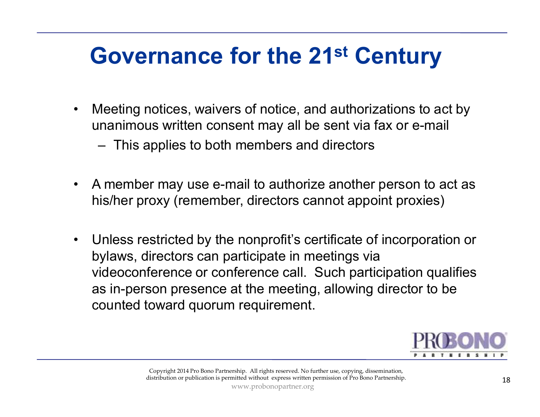### **Governance for the 21st Century**

- $\bullet$  Meeting notices, waivers of notice, and authorizations to act by unanimous written consent may all be sent via fax or e-mail
	- –This applies to both members and directors
- $\bullet$  A member may use e-mail to authorize another person to act as his/her proxy (remember, directors cannot appoint proxies)
- $\bullet$  Unless restricted by the nonprofit's certificate of incorporation or bylaws, directors can participate in meetings via videoconference or conference call. Such participation qualifies as in-person presence at the meeting, allowing director to be counted toward quorum requirement.

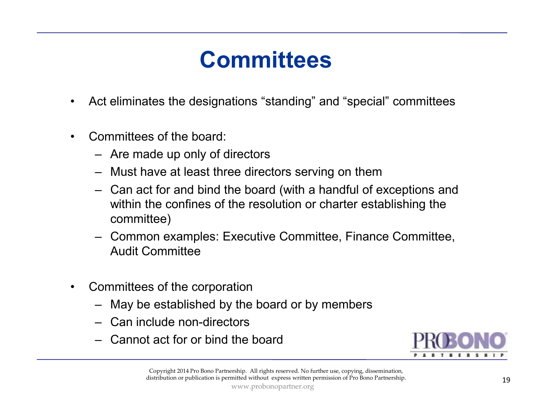### **Committees**

- •Act eliminates the designations "standing" and "special" committees
- • Committees of the board:
	- Are made up only of directors
	- Must have at least three directors serving on them
	- Can act for and bind the board (with a handful of exceptions and  $\frac{1}{2}$ within the confines of the resolution or charter establishing the committee)
	- Common examples: Executive Committee, Finance Committee, Audit Committee
- $\bullet$  Committees of the corporation
	- May be established by the board or by members
	- Can include non-directors
	- Cannot act for or bind the board

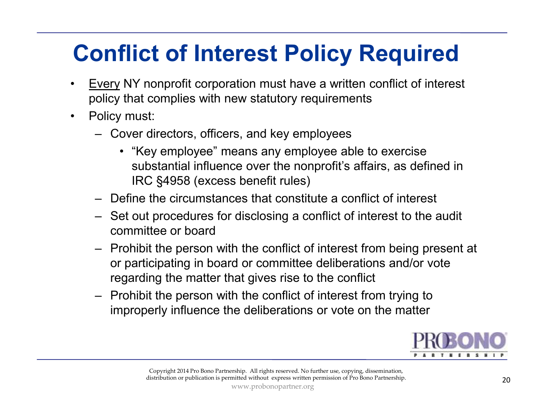### **Conflict of Interest Policy Required**

- • Every NY nonprofit corporation must have a written conflict of interest policy that complies with new statutory requirements
- $\bullet$  Policy must:
	- Cover directors, officers, and key employees
		- "Key employee" means any employee able to exercise<br>exploration influence over the nennrefit's effeire, so defi substantial influence over the nonprofit's affairs, as defined in IRC §4958 (excess benefit rules)
	- Define the circumstances that constitute a conflict of interest
	- Set out procedures for disclosing a conflict of interest to the audit committee or board
	- Prohibit the person with the conflict of interest from being present at  $\frac{1}{2}$ or participating in board or committee deliberations and/or vote regarding the matter that gives rise to the conflict
	- Prohibit the person with the conflict of interest from trying to<br>imaging influence the deliberations as vate on the metter. improperly influence the deliberations or vote on the matter

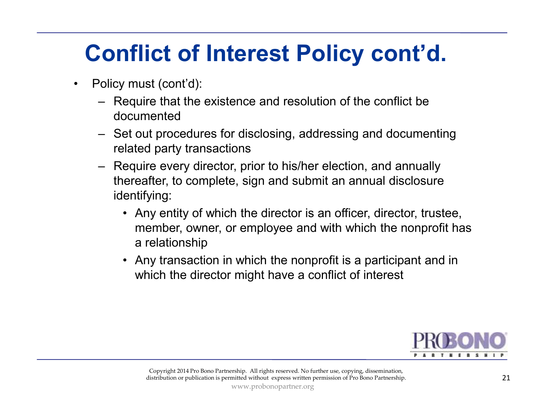### **Conflict of Interest Policy cont'd.**

- • Policy must (cont'd):
	- – Require that the existence and resolution of the conflict be documented
	- Set out procedures for disclosing, addressing and documenting<br>related party transactions related party transactions
	- Require every director, prior to his/her election, and annually<br>thereafter to complete sign and submit an annual disclosure thereafter, to complete, sign and submit an annual disclosure identifying:
		- Any entity of which the director is an officer, director, trustee, member, owner, or employee and with which the nonprofit has a relationship
		- Any transaction in which the nonprofit is a participant and in<br>which the director might have a conflict of interest which the director might have a conflict of interest

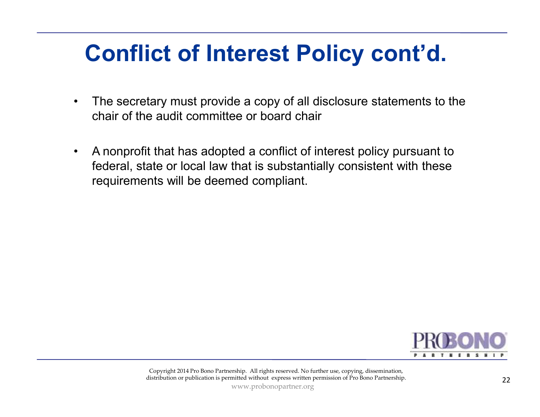### **Conflict of Interest Policy cont'd.**

- • The secretary must provide a copy of all disclosure statements to the chair of the audit committee or board chair
- $\bullet$  A nonprofit that has adopted a conflict of interest policy pursuant to federal, state or local law that is substantially consistent with these requirements will be deemed compliant.

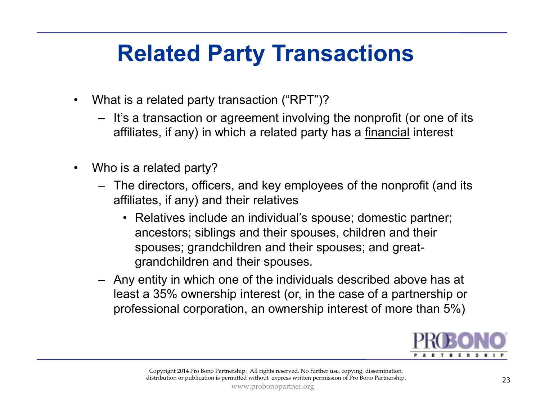### **Related Party Transactions**

- • What is a related party transaction ("RPT")?
	- It's a transaction or agreement involving the nonprofit (or one of its  $\mathcal{L}$ affiliates, if any) in which a related party has a <u>financial</u> interest
- $\bullet$  Who is a related party?
	- The directors, officers, and key employees of the nonprofit (and its efficiation if  $\epsilon$ affiliates, if any) and their relatives
		- Relatives include an individual's spouse; domestic partner;<br>consectors: siblings and their anauses, shildren and their ancestors; siblings and their spouses, children and their spouses; grandchildren and their spouses; and greatgrandchildren and their spouses.
	- Any entity in which one of the individuals described above has at least a 35% ownership interest (or, in the case of a partnership or professional corporation, an ownership interest of more than 5%)

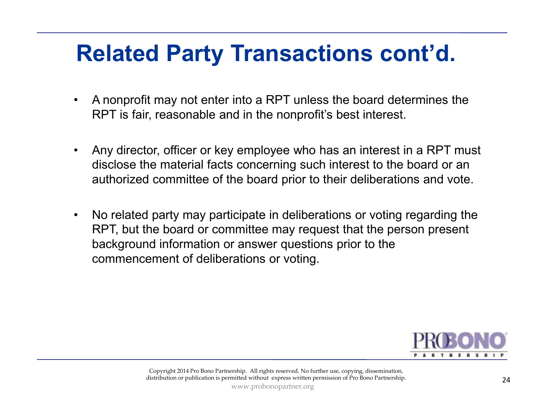### **Related Party Transactions cont'd.**

- • A nonprofit may not enter into a RPT unless the board determines the RPT is fair, reasonable and in the nonprofit's best interest.
- • Any director, officer or key employee who has an interest in a RPT must disclose the material facts concerning such interest to the board or an authorized committee of the board prior to their deliberations and vote.
- $\bullet$  No related party may participate in deliberations or voting regarding the RPT, but the board or committee may request that the person present background information or answer questions prior to the commencement of deliberations or voting.

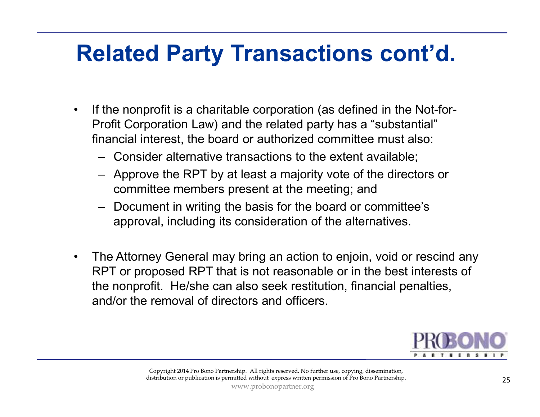### **Related Party Transactions cont'd.**

- • If the nonprofit is a charitable corporation (as defined in the Not-for-Profit Corporation Law) and the related party has a "substantial" financial interest, the board or authorized committee must also:
	- Consider alternative transactions to the extent available;
	- Approve the RPT by at least a majority vote of the directors or committee members present at the meeting; and
	- Document in writing the basis for the board or committee's approval, including its consideration of the alternatives.
- • The Attorney General may bring an action to enjoin, void or rescind any RPT or proposed RPT that is not reasonable or in the best interests of the nonprofit. He/she can also seek restitution, financial penalties, and/or the removal of directors and officers.

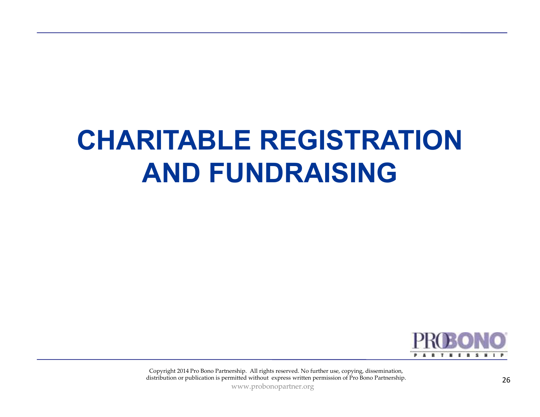# **CHARITABLE REGISTRATION AND FUNDRAISING**



Copyright 2014 Pro Bono Partnership. All rights reserved. No further use, copying, dissemination, distribution or publication is permitted without express written permission of Pro Bono Partnership. 26

www.probonopartner.org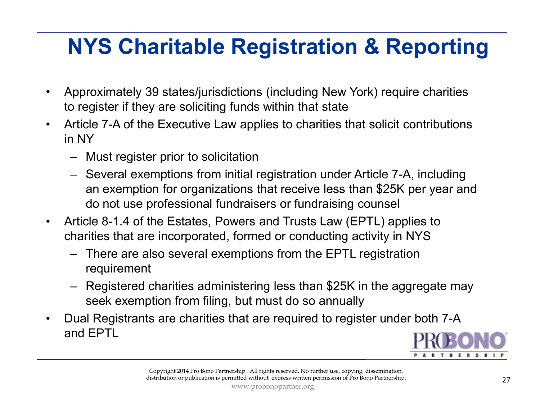### **NYS Charitable Registration & Reporting**

- • Approximately 39 states/jurisdictions (including New York) require charities to register if they are soliciting funds within that state
- • Article 7-A of the Executive Law applies to charities that solicit contributions in NY
	- Must register prior to solicitation
	- Several exemptions from initial registration under Article 7-A, including an exemption for organizations that receive less than \$25K per year and do not use professional fundraisers or fundraising counsel
- $\bullet$  Article 8-1.4 of the Estates, Powers and Trusts Law (EPTL) applies to charities that are incorporated, formed or conducting activity in NYS
	- There are also several exemptions from the EPTL registration requirement
	- – Registered charities administering less than \$25K in the aggregate may seek exemption from filing, but must do so annually
- • Dual Registrants are charities that are required to register under both 7-A and EPTL

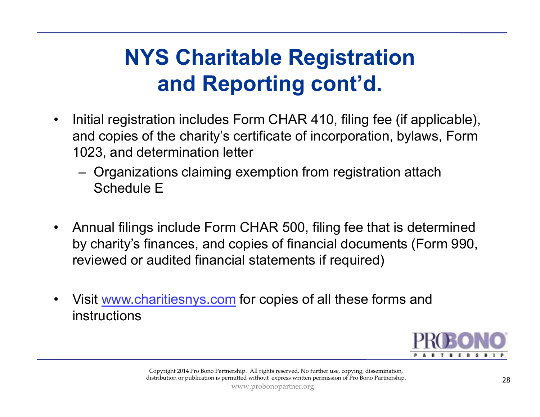### **NYS Charitable Registration and Reporting cont'd.**

- $\bullet$  Initial registration includes Form CHAR 410, filing fee (if applicable), and copies of the charity's certificate of incorporation, bylaws, Form 1023, and determination letter
	- Organizations claiming exemption from registration attach Schedule E
- $\bullet$  Annual filings include Form CHAR 500, filing fee that is determined by charity's finances, and copies of financial documents (Form 990, reviewed or audited financial statements if required)
- •Visit www.charitiesnys.com for copies of all these forms and<br>instructions instructions

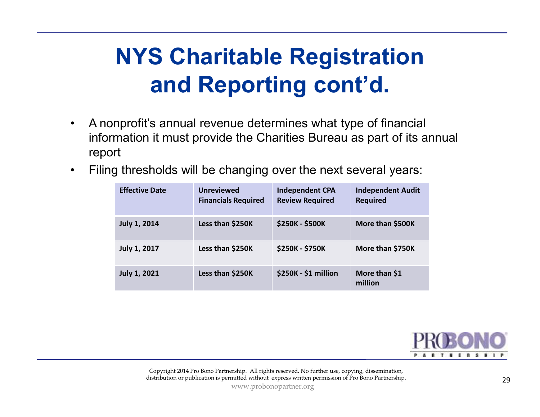### **NYS Charitable Registration and Reporting cont'd.**

- $\bullet$  A nonprofit's annual revenue determines what type of financial information it must provide the Charities Bureau as part of its annual report
- $\bullet$ Filing thresholds will be changing over the next several years:

| <b>Effective Date</b> | <b>Unreviewed</b><br><b>Financials Required</b> | <b>Independent CPA</b><br><b>Review Required</b> | <b>Independent Audit</b><br><b>Required</b> |
|-----------------------|-------------------------------------------------|--------------------------------------------------|---------------------------------------------|
| <b>July 1, 2014</b>   | Less than \$250K                                | <b>\$250K - \$500K</b>                           | More than \$500K                            |
| <b>July 1, 2017</b>   | Less than \$250K                                | <b>\$250K - \$750K</b>                           | More than \$750K                            |
| <b>July 1, 2021</b>   | Less than \$250K                                | \$250K - \$1 million                             | More than \$1<br>million                    |



Copyright 2014 Pro Bono Partnership. All rights reserved. No further use, copying, dissemination, distribution or publication is permitted without express written permission of Pro Bono Partnership.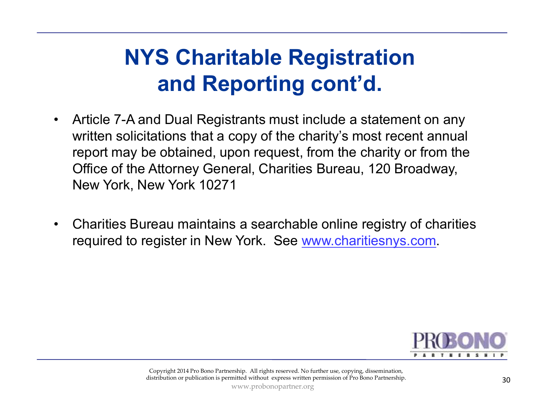### **NYS Charitable Registration and Reporting cont'd.**

- $\bullet$  Article 7-A and Dual Registrants must include a statement on any written solicitations that a copy of the charity's most recent annual report may be obtained, upon request, from the charity or from the Office of the Attorney General, Charities Bureau, 120 Broadway, New York, New York 10271
- • Charities Bureau maintains a searchable online registry of charities required to register in New York. See www.charitiesnys.com.

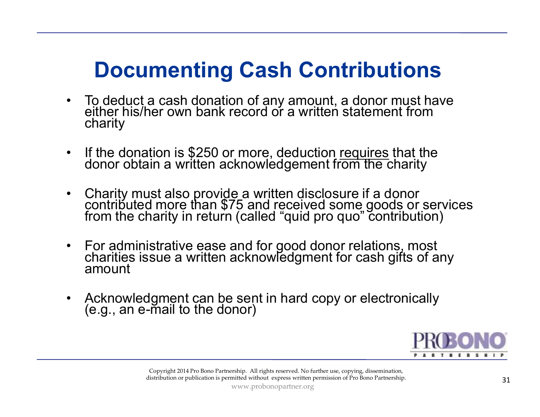### **Documenting Cash Contributions**

- $\bullet$  To deduct a cash donation of any amount, a donor must have either his/her own bank record or a written statement from charity
- $\bullet$ If the donation is \$250 or more, deduction requires that the donor obtain a written acknowledgement from the charity donor obtain a written acknowledgement from the charity
- $\bullet$ Charity must also provide a written disclosure if a donor contributed more than \$75 and received some goods or services from the charity in return (called "quid pro quo" contribution)
- $\bullet$ For administrative ease and for good donor relations, most charities issue a written acknowledgment for cash gifts of any amount
- $\bullet$ Acknowledgment can be sent in hard copy or electronically (e.g., an e-mail to the donor)

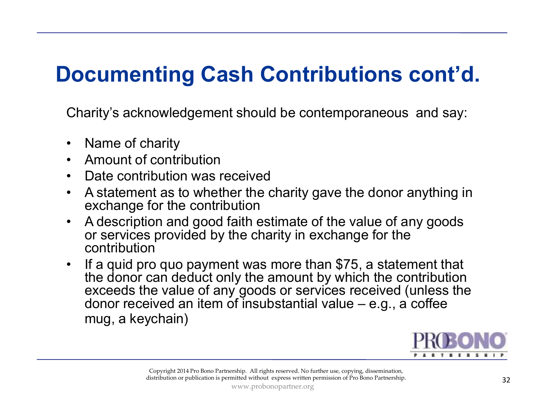### **Documenting Cash Contributions cont'd.**

Charity's acknowledgement should be contemporaneous and say:

- $\bullet$ Name of charity
- $\bullet$ Amount of contribution
- $\bullet$ Date contribution was received
- $\bullet$  A statement as to whether the charity gave the donor anything in exchange for the contribution
- A description and good faith estimate of the value of any goods or services provided by the charity in exchange for the  $\bullet$ or services provided by the charity in exchange for the contribution
- If a quid pro quo payment was more than \$75, a statement that<br>the donor can deduct only the amount by which the contribution  $\bullet$ the donor can deduct only the amount by which the contribution exceeds the value of any goods or services received (unless the donor received an item of insubstantial value  $-$  e.g., a coffee mug, a keychain)

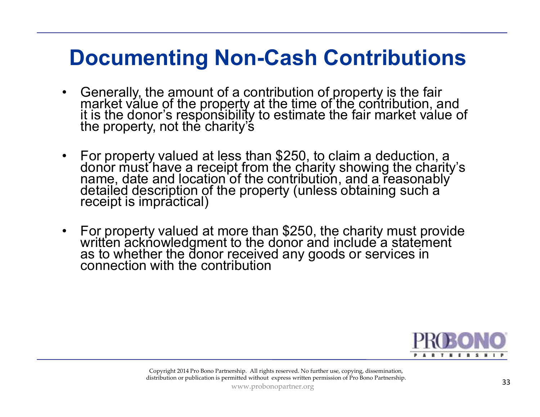#### **Documenting Non-Cash Contributions**

- •Generally, the amount of a contribution of property is the fair<br>market value of the property at the time of the contribution, and<br>it is the donor's responsibility to estimate the fair market value of<br>the property, not the
- •For property valued at less than \$250, to claim a deduction, a<br>donor must have a receipt from the charity showing the charity's<br>name, date and location of the contribution, and a reasonably<br>detailed description of the prop
- •For property valued at more than \$250, the charity must provide written acknowledgment to the donor and include a statement as to whether the donor received any goods or services in connection with the contribution

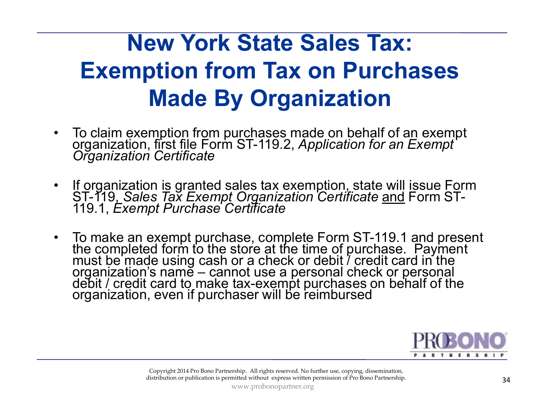### **New York State Sales Tax: Exemption from Tax on Purchases Made By Organization**

- $\bullet$ To claim exemption from purchases made on behalf of an exempt organization, first file Form ST-119.2, *Application for an Exempt* Organization Certificate
- $\bullet$  If organization is granted sales tax exemption, state will issue Form ST-119, *Sales Tax Exempt Organization Certificate*ST-119, *Sales Tax̃ Exempt Organization Certificate <u>and</u> Form ST-<br>119.1, <i>Exempt Purchase Certificate*
- •To make an exempt purchase, complete Form ST-119.1 and present<br>the completed form to the store at the time of purchase. Payment<br>must be made using cash or a check or debit / credit card in the<br>organization's name – cannot



Copyright 2014 Pro Bono Partnership. All rights reserved. No further use, copying, dissemination, distribution or publication is permitted without express written permission of Pro Bono Partnership.

www.probonopartner.org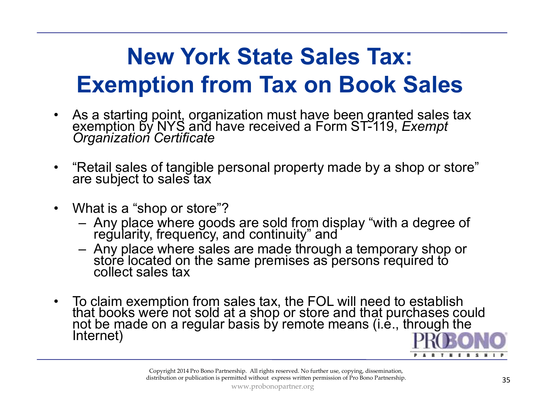### **New York State Sales Tax: Exemption from Tax on Book Sales**

- As a starting point, organization must have been granted sales tax exemption by NYS and have received a Form ST-119, *Exempt Organization Certificate* $\bullet$
- •"Retail sales of tangible personal property made by a shop or store" are subject to sales tax
- $\bullet$  What is a "shop or store"?
	- Any place where goods are sold from display "with a degree of regularity, frequency, and continuity" and
	- $\hspace{0.1cm}$   $\hspace{0.1cm}$   $\hspace{0.1cm}$   $\hspace{0.1cm}$   $\hspace{0.1cm}$   $\hspace{0.1cm}$   $\hspace{0.1cm}$   $\hspace{0.1cm}$   $\hspace{0.1cm}$   $\hspace{0.1cm}$   $\hspace{0.1cm}$   $\hspace{0.1cm}$   $\hspace{0.1cm}$   $\hspace{0.1cm}$   $\hspace{0.1cm}$   $\hspace{0.1cm}$   $\hspace{0.1cm}$   $\hspace{0.1cm}$   $\hspace{$ Any place where sales are made through a temporary shop or store located on the same premises as persons required to collect sales tax
- To claim exemption from sales tax, the FOL will need to establish<br>that books were not sold at a shop or store and that purchases could<br>not be made on a regular basis by remote means (i.e., through the<br>Internet)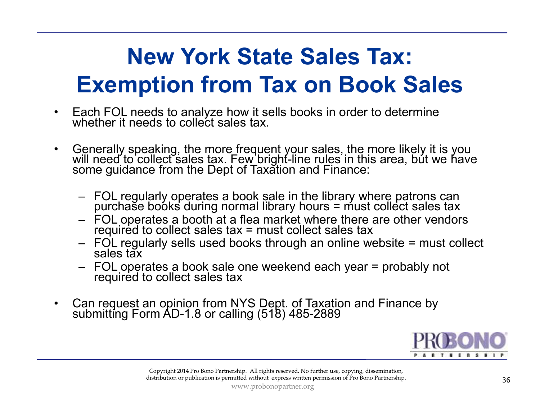### **New York State Sales Tax: Exemption from Tax on Book Sales**

- •Each FOL needs to analyze how it sells books in order to determine whether it needs to collect sales tax.
- • Generally speaking, the more frequent your sales, the more likely it is you will need to collect sales tax. Few bright-line rules in this area, but we have some guidance from the Dept of Taxation and Finance:
	- FOL regularly operates a book sale in the library where patrons can purchase books during normal library hours = must collect sales tax
	- FOL operates a booth at a flea market where there are other vendors required to collect sales tax = must collect sales tax
	- FOL regularly sells used books through an online website = must collect<br>sales tax
	- FOL operates a book sale one weekend each year = probably not required to collect sales tax
- •Can request an opinion from NYS Dept. of Taxation and Finance by submitting Form AD-1.8 or calling (518) 485-2889

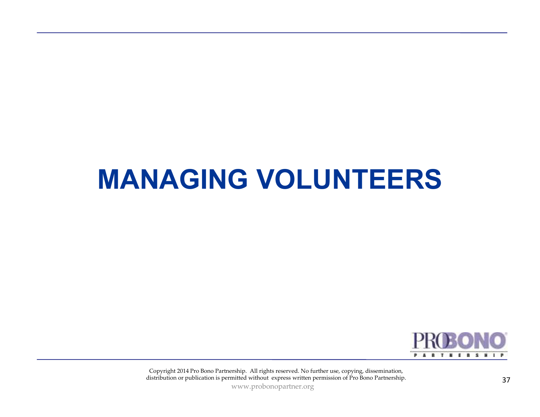### **MANAGING VOLUNTEERS**



Copyright 2014 Pro Bono Partnership. All rights reserved. No further use, copying, dissemination, distribution or publication is permitted without express written permission of Pro Bono Partnership. 37

www.probonopartner.org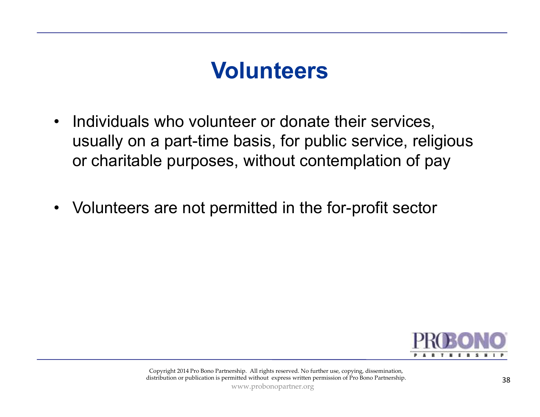### **Volunteers**

- $\bullet$  Individuals who volunteer or donate their services, usually on a part-time basis, for public service, religious or charitable purposes, without contemplation of pay
- $\bullet$ Volunteers are not permitted in the for-profit sector

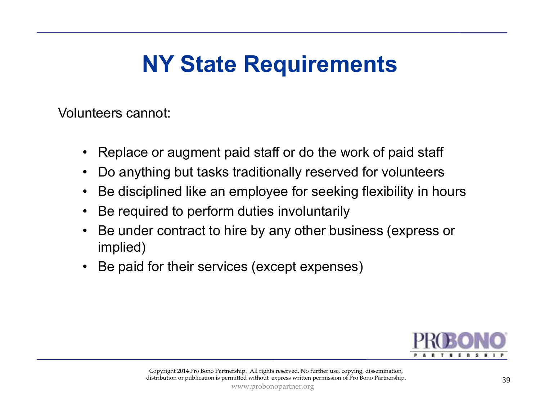### **NY State Requirements**

Volunteers cannot:

- $\bullet$ Replace or augment paid staff or do the work of paid staff
- •Do anything but tasks traditionally reserved for volunteers
- •Be disciplined like an employee for seeking flexibility in hours
- $\bullet$ Be required to perform duties involuntarily
- • Be under contract to hire by any other business (express or implied)
- •Be paid for their services (except expenses)

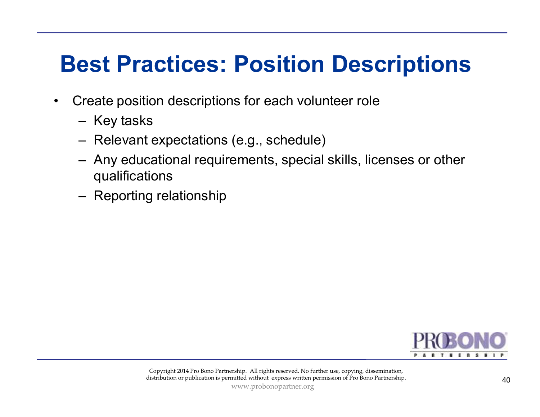### **Best Practices: Position Descriptions**

- • Create position descriptions for each volunteer role
	- Key tasks
	- Relevant expectations (e.g., schedule)
	- Any educational requirements, special skills, licenses or other<br>muslifications qualifications
	- Reporting relationship

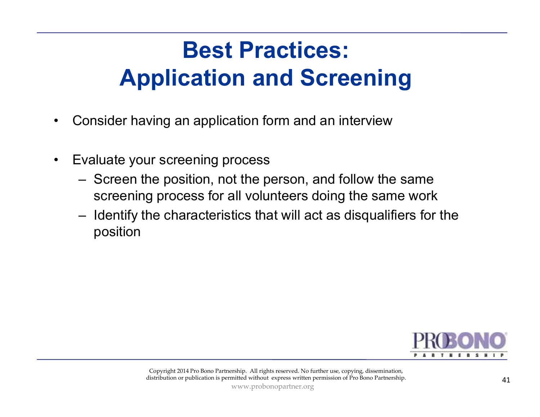### **Best Practices: Application and Screening**

- •Consider having an application form and an interview
- $\bullet$  Evaluate your screening process
	- Screen the position, not the person, and follow the same screening process for all volunteers doing the same work
	- Identify the characteristics that will act as disqualifiers for the position  $\begin{tabular}{l|c} \multicolumn{1}{c}{\textbf{position}} \\ \multicolumn{2}{c}{\textbf{Copyright 2014 Pro Bono Paritnership. All rights reserved. No further use, copying, discrimination, distribution or publication is permitted without express written permission of Pro Bono Paritnership.} \end{tabular} \vspace{0.1cm} \begin{tabular}{c} \multicolumn{2}{c}{\textbf{P}R 1} \multicolumn{2}{c}{\textbf{P}R 2} \multicolumn{2}{c}{\textbf{P}R 3} \multicolumn{2}{c}{\textbf{P}R 4} \multicolumn{2}{c}{\textbf{P}R 4} \multicolumn{2}{c}{\textbf{P}R 5}$

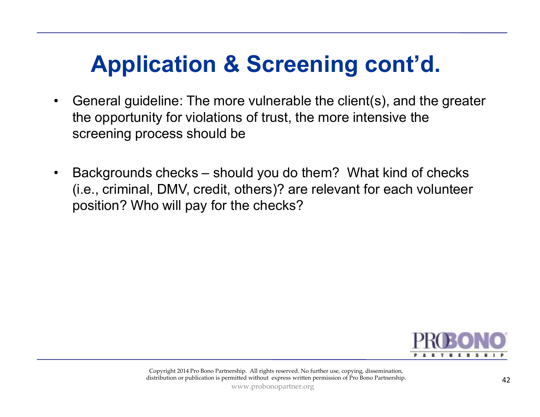### **Application & Screening cont'd.**

- • General guideline: The more vulnerable the client(s), and the greater the opportunity for violations of trust, the more intensive the screening process should be
- • Backgrounds checks – should you do them? What kind of checks (i.e., criminal, DMV, credit, others)? are relevant for each volunteer position? Who will pay for the checks?

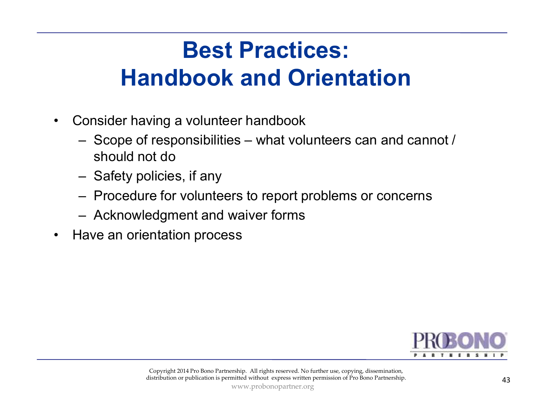### **Best Practices: Handbook and Orientation**

- • Consider having a volunteer handbook
	- Scope of responsibilities what volunteers can and cannot / should not do
	- Safety policies, if any
	- Procedure for volunteers to report problems or concerns
	- $-$  Acknowledgment and waiver forms
- 

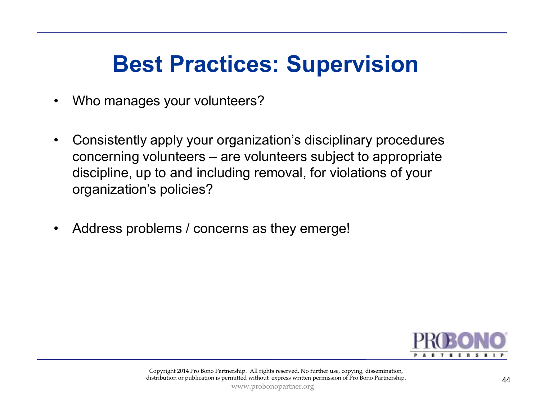### **Best Practices: Supervision**

- •Who manages your volunteers?
- • Consistently apply your organization's disciplinary procedures concerning volunteers – are volunteers subject to appropriate discipline, up to and including removal, for violations of your organization's policies?
- •Address problems / concerns as they emerge!

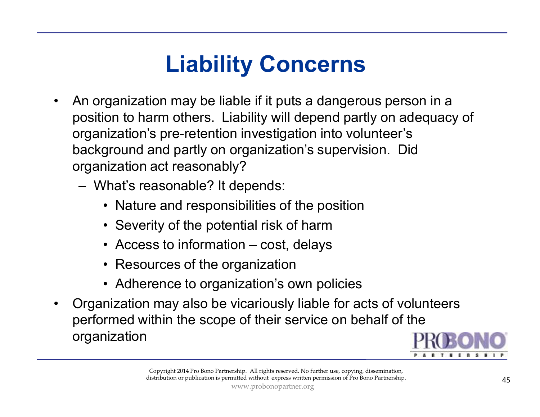### **Liability Concerns**

- • An organization may be liable if it puts a dangerous person in a position to harm others. Liability will depend partly on adequacy of organization's pre-retention investigation into volunteer's background and partly on organization's supervision. Did organization act reasonably?
	- What's reasonable? It depends:
		- Nature and responsibilities of the position
		- Severity of the potential risk of harm
		- Access to information cost, delays
		- Resources of the organization
		- Adherence to organization's own policies
- $\bullet$  Organization may also be vicariously liable for acts of volunteers performed within the scope of their service on behalf of the organization

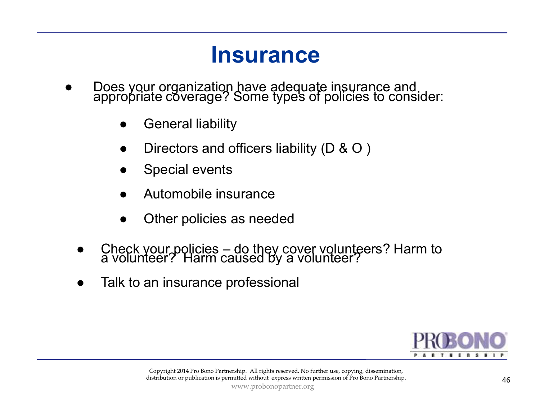#### **Insurance**

- ● Does your organization have adequate insurance and appropriate coverage? Some types of policies to consider:
	- ●General liability
	- ●Directors and officers liability (D & O )
	- ●Special events
	- ●Automobile insurance
	- ●Other policies as needed
	- ●Check your policies – do they cover volunteers? Harm to a volunteer? Harm caused by a volunteer?
	- ●Talk to an insurance professional

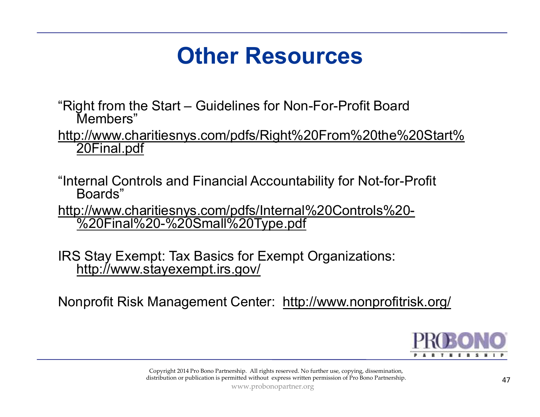### **Other Resources**

"Right from the Start – Guidelines for Non-For-Profit Board Members"

 http://www.charitiesnys.com/pdfs/Right%20From%20the%20Start%20Final.pdf

"Internal Controls and Financial Accountability for Not-for-Profit Boards"

 http://www.charitiesnys.com/pdfs/Internal%20Controls%20-

%20Final%20-%20Small%20Type.pdf<br>
S Stay Exempt: Tax Basics for Exempt Organizations:<br>
http://www.stayexempt.irs.gov/<br>
nprofit Risk Management Center: http://www.nonprofitm<br>
opyright2014Pro Bono Partnership. All rights rese IRS Stay Exempt: Tax Basics for Exempt Organizations: http://www.stayexempt.irs.gov/

Nonprofit Risk Management Center: http://www.nonprofitrisk.org/

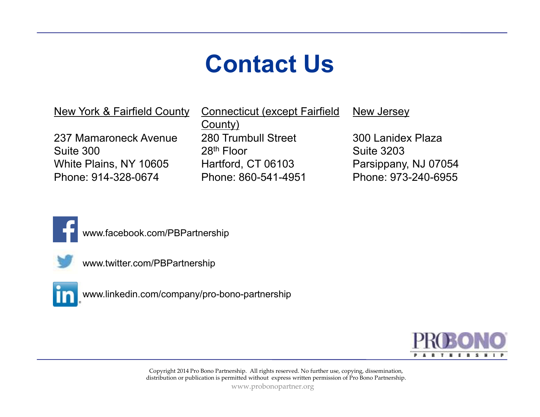### **Contact Us**

New York & Fairfield County

237 Mamaroneck AvenueSuite 300 White Plains, NY 10605 Phone: 914-328-0674

280 Trumbull Street 28<sup>th</sup> Floor Hartford, CT 06103 Phone: 860-541-4951 Connecticut (except Fairfield County)

New Jersey

300 Lanidex PlazaSuite 3203 Parsippany, NJ 07054 Phone: 973-240-6955



www.facebook.com/PBPartnership



www.twitter.com/PBPartnership



www.linkedin.com/company/pro-bono-partnership



Copyright 2014 Pro Bono Partnership. All rights reserved. No further use, copying, dissemination, distribution or publication is permitted without express written permission of Pro Bono Partnership.

www.probonopartner.org